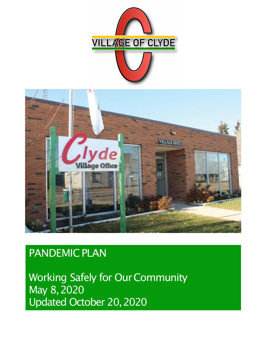



# PANDEMIC PLAN

**Working Safely for Our Community** May 8,2020 Updated October 20,2020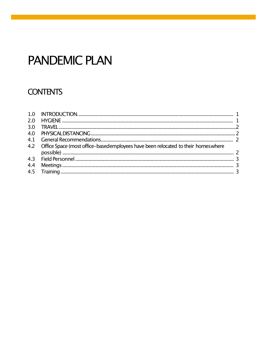# **PANDEMIC PLAN**

## **CONTENTS**

| 3.0 |                                                                                       |  |
|-----|---------------------------------------------------------------------------------------|--|
|     |                                                                                       |  |
|     |                                                                                       |  |
|     | 4.2 Office Space (most office-basedemployees have been relocated to their homes where |  |
|     |                                                                                       |  |
|     |                                                                                       |  |
|     |                                                                                       |  |
|     |                                                                                       |  |
|     |                                                                                       |  |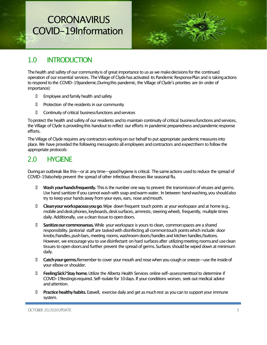# **CORONAVIRUS** COVID-19Information



## 1.0 INTRODUCTION

The health and safety of our community is of great importance to us as we make decisions for the continued operation of our essential services. The Village of Clyde has activated its Pandemic Response Plan and is taking actions to respond to the COVID-19pandemic.Duringthis pandemic, the Village of Clyde's priorities are (in order of importance):

- $\Box$  Employee and family health and safety
- D Protection of the residents in our community
- Continuity of critical businessfunctions andservices

To protect the health and safety of our residents and to maintain continuity of critical businessfunctions and services, the Village of Clyde is providing this handout to reflect our efforts in pandemic preparedness and pandemic response efforts.

The Village of Clyde requires any contractors working on our behalf to put appropriate pandemic measures into place. We have provided the following messagesto all employees andcontractors and expectthem to follow the appropriate protocols:

### 2.0 HYGIENE

Duringan outbreak like this—or at any time—good hygiene is critical. The same actions used to reduce the spread of COVID-19alsohelp prevent the spread of other infectious illnesses like seasonal flu.

- **Wash yourhandsfrequently.**Thisis the number one way to prevent the transmission of viruses and germs. Use hand sanitizerif you cannot wash with soap andwarm water. In between handwashing,you shouldalso try to keep your hands away from your eyes, ears, nose and mouth.
- **Cleanyourworkspaceasyougo**.Wipe down frequent touch points at your workspace and at home (e.g., mobile and desk phones, keyboards, desk surfaces, armrests, steering wheel), frequently, multiple times daily. Additionally, use a clean tissue to open doors.
- **Sanitizeourcommonareas.** While your workspace is yours to clean, commonspaces are a shared responsibility. Janitorial staff are taskedwith disinfecting all commontouch pointswhich include: door knobs/handles, push bars, meeting rooms, washroom doors/handles and kitchen handles/buttons. However, we encourage you to use disinfectant on hard surfaces after utilizing meeting rooms and use clean tissues to open doors and further prevent the spread of germs. Surfaces should be wiped down at minimum daily.
- **Catchyourgerms.**Remember to cover yourmouth and nose when you cough or sneeze—use the insideof your elbow or shoulder.
- **FeelingSick?Stayhome**.Utilize the Alberta Health Services online self-assessmenttool to determine if COVID-19testingis required. Self-isolate for 10 days. If your conditions worsen, seek out medical advice andattention.
- **Practice healthy habits.** Eatwell, exercise daily and get as much rest as you can to support your immune system.

OCTOBER 20/2020 UPDATE 3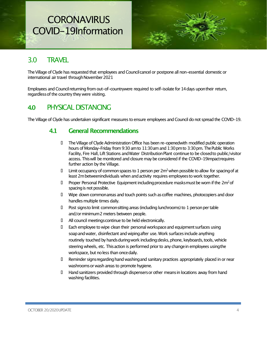## **CORONAVIRUS** COVID-19Information



### 3.0 TRAVEL

The Village of Clyde has requested that employees and Council cancel or postpone all non-essential domestic or international air travel through November 2021

Employees and Councilreturning from out-of-countrywere required to self-isolate for 14days upontheir return, regardlessof the country they were visiting.

### **4.0** PHYSICALDISTANCING

The Village of Clyde has undertaken significant measures to ensure employees and Council do not spread the COVID-19.

#### **4.1 General Recommendations**

- TheVillage of Clyde Administration Office has been re-openedwith modified public operation hours of Monday-Friday from 9:30 am to 11:30 am and 1:30 pm to 3:30 pm. The Public Works Facility, Fire Hall, Lift Stations and Water Distribution Plant continue to be closed to public/visitor access. This will be monitored and closure may be considered if the COVID-19impact requires further action by the Village.
- $\Box$  Limit occupancy of common spaces to 1 person per 2m<sup>2</sup> when possible to allow for spacing of at least 2mbetweenindividuals when andactivity requires employeesto work together.
- $\Box$  Proper Personal Protective Equipment including procedure masksmust be worn if the 2m<sup>2</sup> of spacing is not possible.
- Wipe down commonareas and touch points such ascoffee machines, photocopiers and door handles multiple times daily.
- $\Box$  Post signsto limit common sitting areas (including lunchrooms) to 1 person per table and/or minimum2 meters between people.
- All council meetingscontinue to be held electronically.
- Each employee to wipe clean their personal workspaceand equipmentsurfaces using soap and water, disinfectant and wiping after use. Work surfaces include anything routinely touched by hands during work including: desks, phone, keyboards, tools, vehicle steering wheels, etc. This action is performed prior to any change in employees using the workspace, but no less than once daily.
- Reminder signsregardinghand washingand sanitary practices appropriately placed in or near washrooms or wash areas to promote hygiene.
- Handsanitizers provided through dispensersor other meansin locations away from hand washing facilities.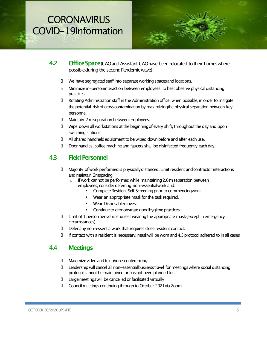# **CORONAVIRUS** COVID-19Information



- **4.2 Office Space** (CAO and Assistant CAO have been relocated to their homes where possible during the second Pandemic wave)
	- $\Box$  We have segregated staff into separate working spaces and locations.
	- o Minimize in-personinteraction between employees, to best observe physicaldistancing practices.
	- D Rotating Administration staff in the Administration office, when possible, in order to mitigate the potential risk of cross contamination by maximizingthe physical separation between key personnel.
	- D Maintain 2 m separation between employees.
	- $\Box$  Wipe down all workstations at the beginning of every shift, throughout the day and upon switching stations.
	- All shared handheldequipment to be wiped downbefore and after eachuse.
	- Doorhandles, coffee machineand faucets shall be disinfected frequently eachday.

#### **4.3 Field Personnel**

- D Majority of work performed is physically distanced. Limit resident and contractor interactions and maintain 2mspacing.
	- $\circ$  If work cannot be performed while maintaining 2.0 m separation between employees, consider deferring non-essentialwork and:
		- Complete Resident Self Screening prior to commencingwork.
		- Wear an appropriate maskfor the task required.
		- Wear Disposable gloves.
		- Continue to demonstrate good hygiene practices.
- $\Box$  Limit of 1 person per vehicle unless wearing the appropriate mask (except in emergency circumstances).
- Defer any non-essentialwork that requires close resident contact.
- If contact with a resident is necessary, maskwill be worn and4.3protocol adhered to in all cases

#### **4.4 Meetings**

- Maximizevideo and telephone conferencing.
- Leadership will cancel all non-essentialbusinesstravel formeetingswhere social distancing protocol cannot be maintained or has not been planned for.
- Largemeetingswill be cancelledor facilitated virtually
- Councilmeetings continuing through to October 2021via Zoom